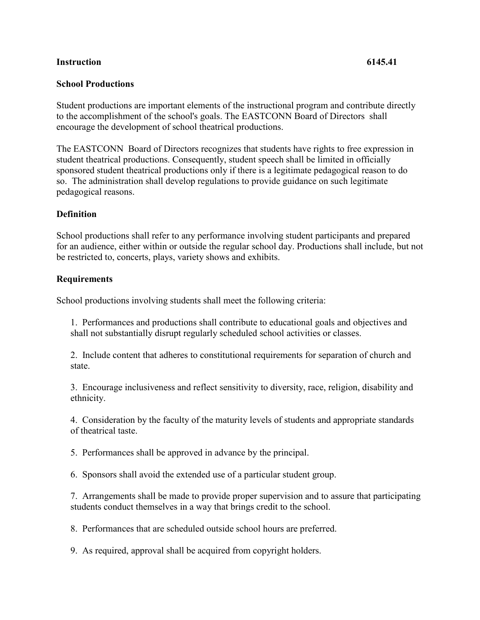## **Instruction 6145.41**

## **School Productions**

Student productions are important elements of the instructional program and contribute directly to the accomplishment of the school's goals. The EASTCONN Board of Directors shall encourage the development of school theatrical productions.

The EASTCONN Board of Directors recognizes that students have rights to free expression in student theatrical productions. Consequently, student speech shall be limited in officially sponsored student theatrical productions only if there is a legitimate pedagogical reason to do so. The administration shall develop regulations to provide guidance on such legitimate pedagogical reasons.

## **Definition**

School productions shall refer to any performance involving student participants and prepared for an audience, either within or outside the regular school day. Productions shall include, but not be restricted to, concerts, plays, variety shows and exhibits.

## **Requirements**

School productions involving students shall meet the following criteria:

1. Performances and productions shall contribute to educational goals and objectives and shall not substantially disrupt regularly scheduled school activities or classes.

2. Include content that adheres to constitutional requirements for separation of church and state.

3. Encourage inclusiveness and reflect sensitivity to diversity, race, religion, disability and ethnicity.

4. Consideration by the faculty of the maturity levels of students and appropriate standards of theatrical taste.

5. Performances shall be approved in advance by the principal.

6. Sponsors shall avoid the extended use of a particular student group.

7. Arrangements shall be made to provide proper supervision and to assure that participating students conduct themselves in a way that brings credit to the school.

8. Performances that are scheduled outside school hours are preferred.

9. As required, approval shall be acquired from copyright holders.